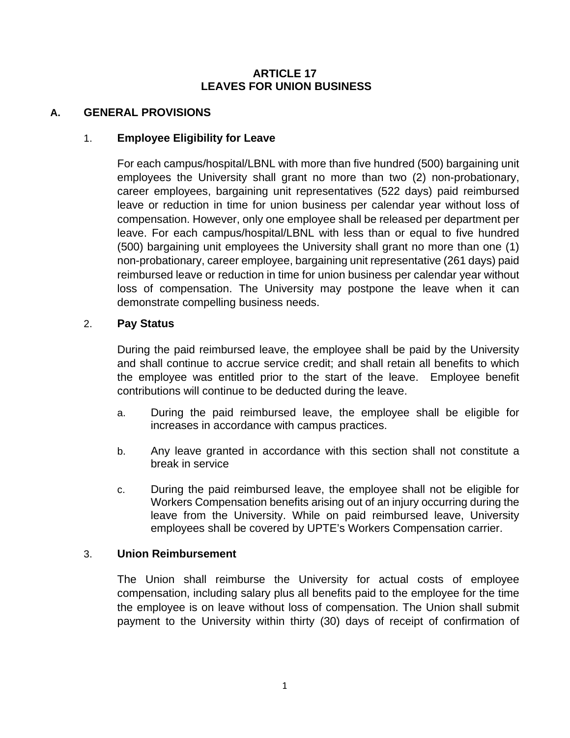## **ARTICLE 17 LEAVES FOR UNION BUSINESS**

## **A. GENERAL PROVISIONS**

## 1. **Employee Eligibility for Leave**

For each campus/hospital/LBNL with more than five hundred (500) bargaining unit employees the University shall grant no more than two (2) non-probationary, career employees, bargaining unit representatives (522 days) paid reimbursed leave or reduction in time for union business per calendar year without loss of compensation. However, only one employee shall be released per department per leave. For each campus/hospital/LBNL with less than or equal to five hundred (500) bargaining unit employees the University shall grant no more than one (1) non-probationary, career employee, bargaining unit representative (261 days) paid reimbursed leave or reduction in time for union business per calendar year without loss of compensation. The University may postpone the leave when it can demonstrate compelling business needs.

### 2. **Pay Status**

During the paid reimbursed leave, the employee shall be paid by the University and shall continue to accrue service credit; and shall retain all benefits to which the employee was entitled prior to the start of the leave. Employee benefit contributions will continue to be deducted during the leave.

- a. During the paid reimbursed leave, the employee shall be eligible for increases in accordance with campus practices.
- b. Any leave granted in accordance with this section shall not constitute a break in service
- c. During the paid reimbursed leave, the employee shall not be eligible for Workers Compensation benefits arising out of an injury occurring during the leave from the University. While on paid reimbursed leave, University employees shall be covered by UPTE's Workers Compensation carrier.

### 3. **Union Reimbursement**

The Union shall reimburse the University for actual costs of employee compensation, including salary plus all benefits paid to the employee for the time the employee is on leave without loss of compensation. The Union shall submit payment to the University within thirty (30) days of receipt of confirmation of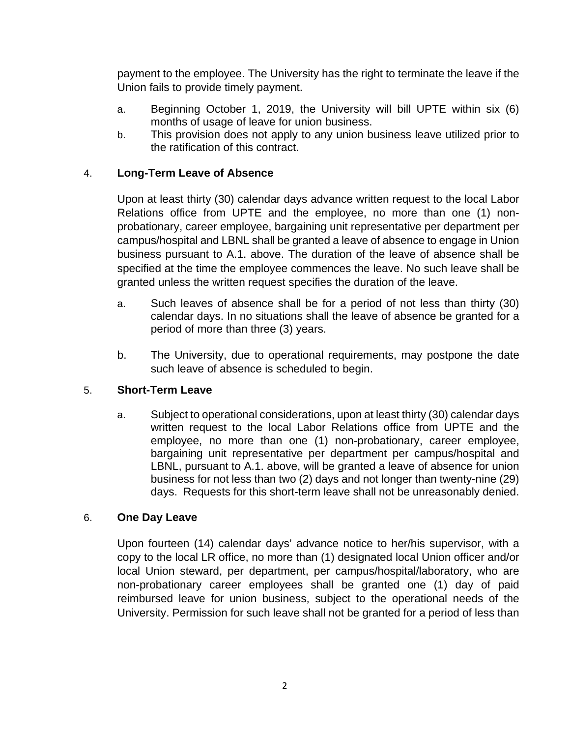payment to the employee. The University has the right to terminate the leave if the Union fails to provide timely payment.

- a. Beginning October 1, 2019, the University will bill UPTE within six (6) months of usage of leave for union business.
- b. This provision does not apply to any union business leave utilized prior to the ratification of this contract.

# 4. **Long-Term Leave of Absence**

Upon at least thirty (30) calendar days advance written request to the local Labor Relations office from UPTE and the employee, no more than one (1) nonprobationary, career employee, bargaining unit representative per department per campus/hospital and LBNL shall be granted a leave of absence to engage in Union business pursuant to A.1. above. The duration of the leave of absence shall be specified at the time the employee commences the leave. No such leave shall be granted unless the written request specifies the duration of the leave.

- a. Such leaves of absence shall be for a period of not less than thirty (30) calendar days. In no situations shall the leave of absence be granted for a period of more than three (3) years.
- b. The University, due to operational requirements, may postpone the date such leave of absence is scheduled to begin.

## 5. **Short-Term Leave**

a. Subject to operational considerations, upon at least thirty (30) calendar days written request to the local Labor Relations office from UPTE and the employee, no more than one (1) non-probationary, career employee, bargaining unit representative per department per campus/hospital and LBNL, pursuant to A.1. above, will be granted a leave of absence for union business for not less than two (2) days and not longer than twenty-nine (29) days. Requests for this short-term leave shall not be unreasonably denied.

### 6. **One Day Leave**

Upon fourteen (14) calendar days' advance notice to her/his supervisor, with a copy to the local LR office, no more than (1) designated local Union officer and/or local Union steward, per department, per campus/hospital/laboratory, who are non-probationary career employees shall be granted one (1) day of paid reimbursed leave for union business, subject to the operational needs of the University. Permission for such leave shall not be granted for a period of less than